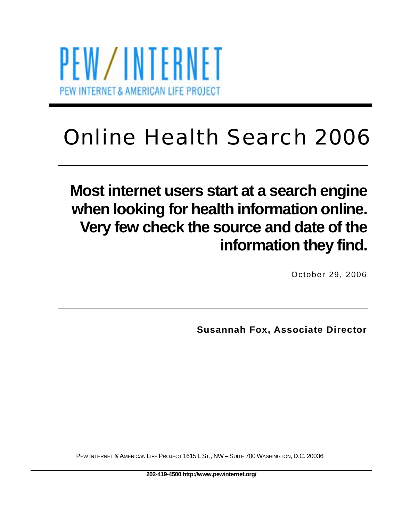

# Online Health Search 2006

# **Most internet users start at a search engine when looking for health information online. Very few check the source and date of the information they find.**

October 29, 2006

**Susannah Fox, Associate Director** 

PEW INTERNET & AMERICAN LIFE PROJECT 1615 L ST., NW – SUITE 700 WASHINGTON, D.C. 20036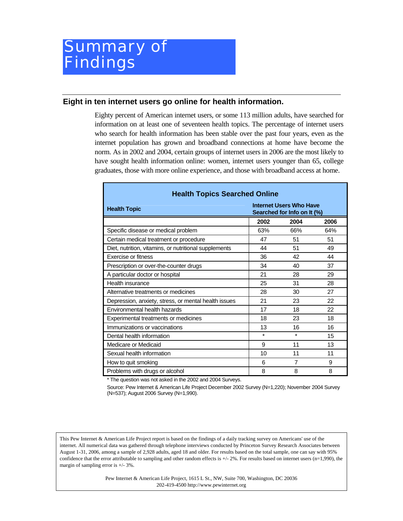### **Eight in ten internet users go online for health information.**

Eighty percent of American internet users, or some 113 million adults, have searched for information on at least one of seventeen health topics. The percentage of internet users who search for health information has been stable over the past four years, even as the internet population has grown and broadband connections at home have become the norm. As in 2002 and 2004, certain groups of internet users in 2006 are the most likely to have sought health information online: women, internet users younger than 65, college graduates, those with more online experience, and those with broadband access at home.

| <b>Health Topics Searched Online</b>                  |                                                               |                |      |  |  |
|-------------------------------------------------------|---------------------------------------------------------------|----------------|------|--|--|
| <b>Health Topic</b>                                   | <b>Internet Users Who Have</b><br>Searched for Info on It (%) |                |      |  |  |
|                                                       | 2002                                                          | 2004           | 2006 |  |  |
| Specific disease or medical problem                   | 63%                                                           | 66%            | 64%  |  |  |
| Certain medical treatment or procedure                | 47                                                            | 51             | 51   |  |  |
| Diet, nutrition, vitamins, or nutritional supplements | 44                                                            | 51             | 49   |  |  |
| <b>Exercise or fitness</b>                            | 36                                                            | 42             | 44   |  |  |
| Prescription or over-the-counter drugs                | 34                                                            | 40             | 37   |  |  |
| A particular doctor or hospital                       | 21                                                            | 28             | 29   |  |  |
| Health insurance                                      | 25                                                            | 31             | 28   |  |  |
| Alternative treatments or medicines                   | 28                                                            | 30             | 27   |  |  |
| Depression, anxiety, stress, or mental health issues  | 21                                                            | 23             | 22   |  |  |
| Environmental health hazards                          | 17                                                            | 18             | 22   |  |  |
| Experimental treatments or medicines                  | 18                                                            | 23             | 18   |  |  |
| Immunizations or vaccinations                         | 13                                                            | 16             | 16   |  |  |
| Dental health information                             | $\star$                                                       | $\star$        | 15   |  |  |
| Medicare or Medicaid                                  | 9                                                             | 11             | 13   |  |  |
| Sexual health information                             | 10                                                            | 11             | 11   |  |  |
| How to quit smoking                                   | 6                                                             | $\overline{7}$ | 9    |  |  |
| Problems with drugs or alcohol                        | 8                                                             | 8              | 8    |  |  |

\* The question was not asked in the 2002 and 2004 Surveys.

Source: Pew Internet & American Life Project December 2002 Survey (N=1,220); November 2004 Survey (N=537); August 2006 Survey (N=1,990).

This Pew Internet & American Life Project report is based on the findings of a daily tracking survey on Americans' use of the internet. All numerical data was gathered through telephone interviews conducted by Princeton Survey Research Associates between August 1-31, 2006, among a sample of 2,928 adults, aged 18 and older. For results based on the total sample, one can say with 95% confidence that the error attributable to sampling and other random effects is  $+/2\%$ . For results based on internet users (n=1,990), the margin of sampling error is +/- 3%.

> Pew Internet & American Life Project, 1615 L St., NW, Suite 700, Washington, DC 20036 202-419-4500 http://www.pewinternet.org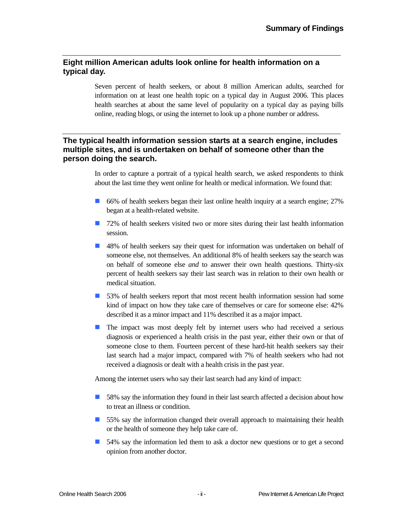### **Eight million American adults look online for health information on a typical day.**

Seven percent of health seekers, or about 8 million American adults, searched for information on at least one health topic on a typical day in August 2006. This places health searches at about the same level of popularity on a typical day as paying bills online, reading blogs, or using the internet to look up a phone number or address.

### **The typical health information session starts at a search engine, includes multiple sites, and is undertaken on behalf of someone other than the person doing the search.**

In order to capture a portrait of a typical health search, we asked respondents to think about the last time they went online for health or medical information. We found that:

- ! 66% of health seekers began their last online health inquiry at a search engine; 27% began at a health-related website.
- **1** 72% of health seekers visited two or more sites during their last health information session.
- ! 48% of health seekers say their quest for information was undertaken on behalf of someone else, not themselves. An additional 8% of health seekers say the search was on behalf of someone else *and* to answer their own health questions. Thirty-six percent of health seekers say their last search was in relation to their own health or medical situation.
- ! 53% of health seekers report that most recent health information session had some kind of impact on how they take care of themselves or care for someone else: 42% described it as a minor impact and 11% described it as a major impact.
- **I** The impact was most deeply felt by internet users who had received a serious diagnosis or experienced a health crisis in the past year, either their own or that of someone close to them. Fourteen percent of these hard-hit health seekers say their last search had a major impact, compared with 7% of health seekers who had not received a diagnosis or dealt with a health crisis in the past year.

Among the internet users who say their last search had any kind of impact:

- **1** 58% say the information they found in their last search affected a decision about how to treat an illness or condition.
- **If** 55% say the information changed their overall approach to maintaining their health or the health of someone they help take care of.
- **1** 54% say the information led them to ask a doctor new questions or to get a second opinion from another doctor.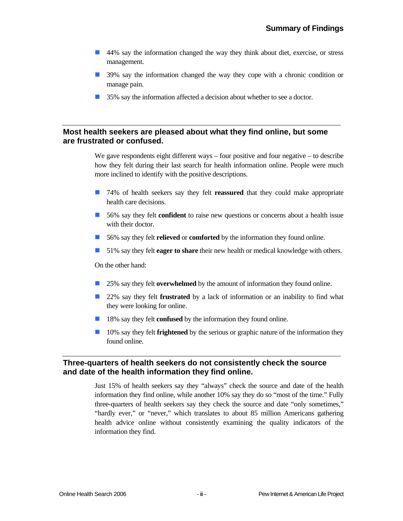- ! 44% say the information changed the way they think about diet, exercise, or stress management.
- **1** 39% say the information changed the way they cope with a chronic condition or manage pain.
- 35% say the information affected a decision about whether to see a doctor.

### **Most health seekers are pleased about what they find online, but some are frustrated or confused.**

We gave respondents eight different ways – four positive and four negative – to describe how they felt during their last search for health information online. People were much more inclined to identify with the positive descriptions.

- ! 74% of health seekers say they felt **reassured** that they could make appropriate health care decisions.
- **1** 56% say they felt **confident** to raise new questions or concerns about a health issue with their doctor.
- ! 56% say they felt **relieved** or **comforted** by the information they found online.
- **If** 51% say they felt **eager to share** their new health or medical knowledge with others.

On the other hand:

- 25% say they felt **overwhelmed** by the amount of information they found online.
- **22%** say they felt **frustrated** by a lack of information or an inability to find what they were looking for online.
- **18%** say they felt **confused** by the information they found online.
- **10%** say they felt **frightened** by the serious or graphic nature of the information they found online.

### **Three-quarters of health seekers do not consistently check the source and date of the health information they find online.**

Just 15% of health seekers say they "always" check the source and date of the health information they find online, while another 10% say they do so "most of the time." Fully three-quarters of health seekers say they check the source and date "only sometimes," "hardly ever," or "never," which translates to about 85 million Americans gathering health advice online without consistently examining the quality indicators of the information they find.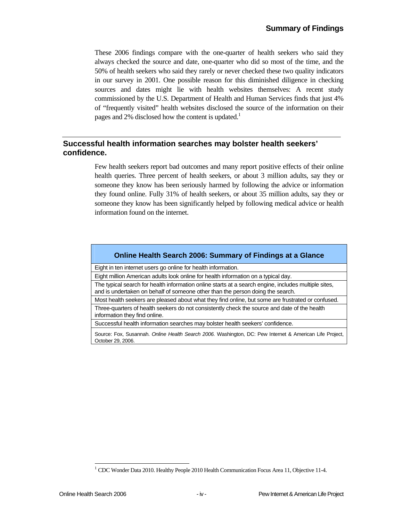These 2006 findings compare with the one-quarter of health seekers who said they always checked the source and date, one-quarter who did so most of the time, and the 50% of health seekers who said they rarely or never checked these two quality indicators in our survey in 2001. One possible reason for this diminished diligence in checking sources and dates might lie with health websites themselves: A recent study commissioned by the U.S. Department of Health and Human Services finds that just 4% of "frequently visited" health websites disclosed the source of the information on their pages and 2% disclosed how the content is updated.<sup>1</sup>

### **Successful health information searches may bolster health seekers' confidence.**

Few health seekers report bad outcomes and many report positive effects of their online health queries. Three percent of health seekers, or about 3 million adults, say they or someone they know has been seriously harmed by following the advice or information they found online. Fully 31% of health seekers, or about 35 million adults, say they or someone they know has been significantly helped by following medical advice or health information found on the internet.

### **Online Health Search 2006: Summary of Findings at a Glance**

Eight in ten internet users go online for health information.

Eight million American adults look online for health information on a typical day.

The typical search for health information online starts at a search engine, includes multiple sites, and is undertaken on behalf of someone other than the person doing the search.

Most health seekers are pleased about what they find online, but some are frustrated or confused. Three-quarters of health seekers do not consistently check the source and date of the health

information they find online.

Successful health information searches may bolster health seekers' confidence.

Source: Fox, Susannah. *Online Health Search 2006.* Washington, DC: Pew Internet & American Life Project, October 29, 2006.

l

<sup>&</sup>lt;sup>1</sup> CDC Wonder Data 2010. Healthy People 2010 Health Communication Focus Area 11, Objective 11-4.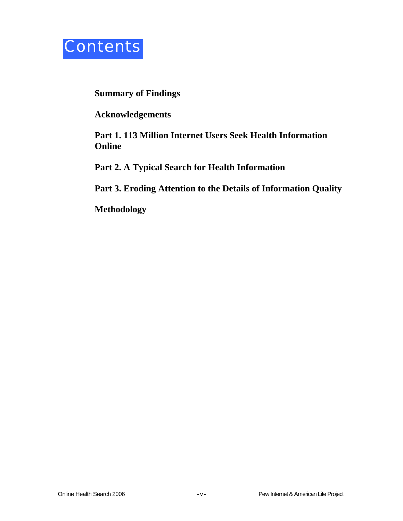

### **Summary of Findings**

**Acknowledgements** 

**Part 1. 113 Million Internet Users Seek Health Information Online** 

**Part 2. A Typical Search for Health Information** 

**Part 3. Eroding Attention to the Details of Information Quality** 

**Methodology**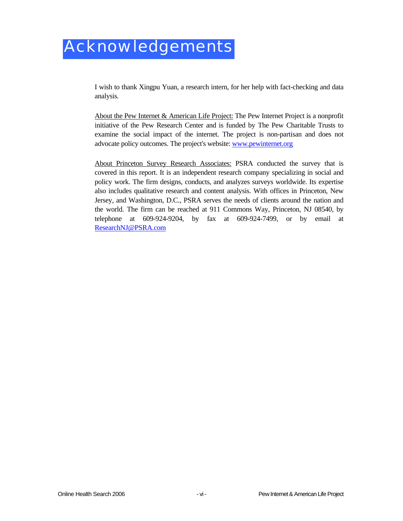## Acknowledgements

I wish to thank Xingpu Yuan, a research intern, for her help with fact-checking and data analysis.

About the Pew Internet & American Life Project: The Pew Internet Project is a nonprofit initiative of the Pew Research Center and is funded by The Pew Charitable Trusts to examine the social impact of the internet. The project is non-partisan and does not advocate policy outcomes. The project's website: www.pewinternet.org

About Princeton Survey Research Associates: PSRA conducted the survey that is covered in this report. It is an independent research company specializing in social and policy work. The firm designs, conducts, and analyzes surveys worldwide. Its expertise also includes qualitative research and content analysis. With offices in Princeton, New Jersey, and Washington, D.C., PSRA serves the needs of clients around the nation and the world. The firm can be reached at 911 Commons Way, Princeton, NJ 08540, by telephone at 609-924-9204, by fax at 609-924-7499, or by email at ResearchNJ@PSRA.com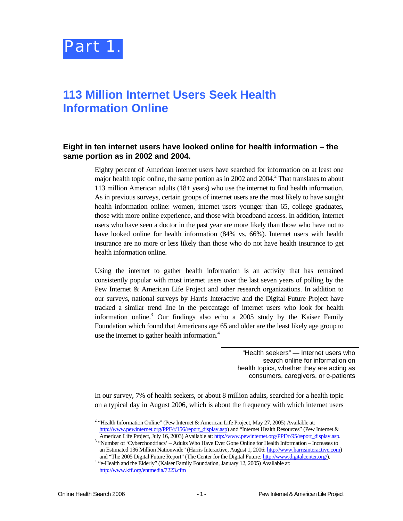

### **113 Million Internet Users Seek Health Information Online**

### **Eight in ten internet users have looked online for health information – the same portion as in 2002 and 2004.**

Eighty percent of American internet users have searched for information on at least one major health topic online, the same portion as in 2002 and  $2004$ <sup>2</sup>. That translates to about 113 million American adults (18+ years) who use the internet to find health information. As in previous surveys, certain groups of internet users are the most likely to have sought health information online: women, internet users younger than 65, college graduates, those with more online experience, and those with broadband access. In addition, internet users who have seen a doctor in the past year are more likely than those who have not to have looked online for health information (84% vs. 66%). Internet users with health insurance are no more or less likely than those who do not have health insurance to get health information online.

Using the internet to gather health information is an activity that has remained consistently popular with most internet users over the last seven years of polling by the Pew Internet & American Life Project and other research organizations. In addition to our surveys, national surveys by Harris Interactive and the Digital Future Project have tracked a similar trend line in the percentage of internet users who look for health information online.<sup>3</sup> Our findings also echo a 2005 study by the Kaiser Family Foundation which found that Americans age 65 and older are the least likely age group to use the internet to gather health information.<sup>4</sup>

> "Health seekers" — Internet users who search online for information on health topics, whether they are acting as consumers, caregivers, or e-patients

In our survey, 7% of health seekers, or about 8 million adults, searched for a health topic on a typical day in August 2006, which is about the frequency with which internet users

l <sup>2</sup> "Health Information Online" (Pew Internet & American Life Project, May 27, 2005) Available at: http://www.pewinternet.org/PPF/r/156/report\_display.asp) and "Internet Health Resources" (Pew Internet &

American Life Project, July 16, 2003) Available at: http://www.pewinternet.org/PPF/r/95/report\_display.asp.  $3$  "Number of 'Cyberchondriacs' – Adults Who Have Ever Gone Online for Health Information – Increases to an Estimated 136 Million Nationwide" (Harris Interactive, August 1, 2006: http://www.harrisinteractive.com)

and "The 2005 Digital Future Report" (The Center for the Digital Future: http://www.digitalcenter.org/). 4 <sup>4</sup> "e-Health and the Elderly" (Kaiser Family Foundation, January 12, 2005) Available at: http://www.kff.org/entmedia/7223.cfm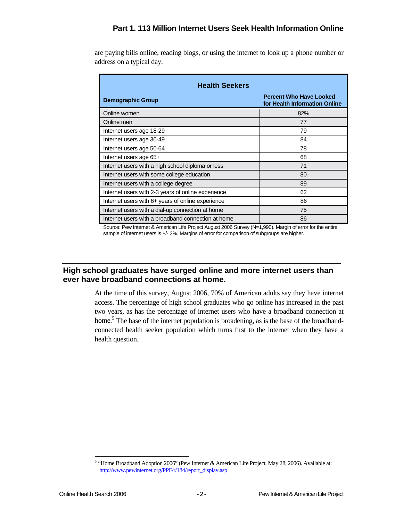### **Part 1. 113 Million Internet Users Seek Health Information Online**

are paying bills online, reading blogs, or using the internet to look up a phone number or address on a typical day.

| <b>Health Seekers</b>                              |                                                                 |  |  |  |  |
|----------------------------------------------------|-----------------------------------------------------------------|--|--|--|--|
| <b>Demographic Group</b>                           | <b>Percent Who Have Looked</b><br>for Health Information Online |  |  |  |  |
| Online women                                       | 82%                                                             |  |  |  |  |
| Online men                                         | 77                                                              |  |  |  |  |
| Internet users age 18-29                           | 79                                                              |  |  |  |  |
| Internet users age 30-49                           | 84                                                              |  |  |  |  |
| Internet users age 50-64                           | 78                                                              |  |  |  |  |
| Internet users age 65+                             | 68                                                              |  |  |  |  |
| Internet users with a high school diploma or less  | 71                                                              |  |  |  |  |
| Internet users with some college education         | 80                                                              |  |  |  |  |
| Internet users with a college degree               | 89                                                              |  |  |  |  |
| Internet users with 2-3 years of online experience | 62                                                              |  |  |  |  |
| Internet users with 6+ years of online experience  | 86                                                              |  |  |  |  |
| Internet users with a dial-up connection at home   | 75                                                              |  |  |  |  |
| Internet users with a broadband connection at home | 86                                                              |  |  |  |  |

Source: Pew Internet & American Life Project August 2006 Survey (N=1,990). Margin of error for the entire sample of internet users is +/- 3%. Margins of error for comparison of subgroups are higher.

### **High school graduates have surged online and more internet users than ever have broadband connections at home.**

At the time of this survey, August 2006, 70% of American adults say they have internet access. The percentage of high school graduates who go online has increased in the past two years, as has the percentage of internet users who have a broadband connection at home.<sup>5</sup> The base of the internet population is broadening, as is the base of the broadbandconnected health seeker population which turns first to the internet when they have a health question.

 5 "Home Broadband Adoption 2006" (Pew Internet & American Life Project, May 28, 2006). Available at: http://www.pewinternet.org/PPF/r/184/report\_display.asp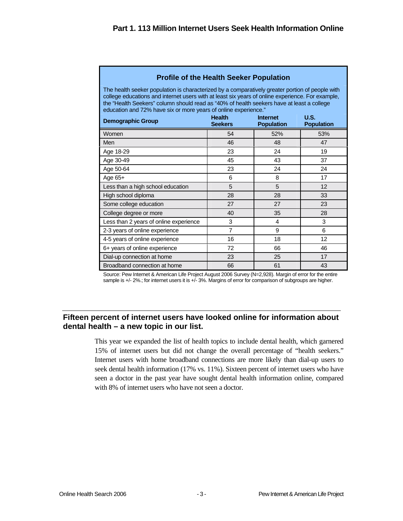| <b>Profile of the Health Seeker Population</b>                                                                                                                                                                                                                                                                                                                      |                                                                          |     |     |  |  |  |  |
|---------------------------------------------------------------------------------------------------------------------------------------------------------------------------------------------------------------------------------------------------------------------------------------------------------------------------------------------------------------------|--------------------------------------------------------------------------|-----|-----|--|--|--|--|
| The health seeker population is characterized by a comparatively greater portion of people with<br>college educations and internet users with at least six years of online experience. For example,<br>the "Health Seekers" column should read as "40% of health seekers have at least a college<br>education and 72% have six or more years of online experience." |                                                                          |     |     |  |  |  |  |
| <b>Demographic Group</b>                                                                                                                                                                                                                                                                                                                                            | <b>Health</b><br>U.S.<br>Internet<br><b>Seekers</b><br><b>Population</b> |     |     |  |  |  |  |
| Women                                                                                                                                                                                                                                                                                                                                                               | 54                                                                       | 52% | 53% |  |  |  |  |
| Men                                                                                                                                                                                                                                                                                                                                                                 | 46                                                                       | 48  | 47  |  |  |  |  |
| Age 18-29                                                                                                                                                                                                                                                                                                                                                           | 23                                                                       | 24  | 19  |  |  |  |  |
| Age 30-49                                                                                                                                                                                                                                                                                                                                                           | 45                                                                       | 43  | 37  |  |  |  |  |
| Age 50-64                                                                                                                                                                                                                                                                                                                                                           | 23                                                                       | 24  | 24  |  |  |  |  |
| Age $65+$                                                                                                                                                                                                                                                                                                                                                           | 6                                                                        | 8   | 17  |  |  |  |  |
| Less than a high school education                                                                                                                                                                                                                                                                                                                                   | 5                                                                        | 5   | 12  |  |  |  |  |
| High school diploma                                                                                                                                                                                                                                                                                                                                                 | 28                                                                       | 28  | 33  |  |  |  |  |
| Some college education                                                                                                                                                                                                                                                                                                                                              | 27                                                                       | 27  | 23  |  |  |  |  |
| College degree or more                                                                                                                                                                                                                                                                                                                                              | 40                                                                       | 35  | 28  |  |  |  |  |
| Less than 2 years of online experience                                                                                                                                                                                                                                                                                                                              | 3                                                                        | 4   | 3   |  |  |  |  |
| 2-3 years of online experience                                                                                                                                                                                                                                                                                                                                      | $\overline{7}$                                                           | 9   | 6   |  |  |  |  |
| 4-5 years of online experience                                                                                                                                                                                                                                                                                                                                      | 16                                                                       | 18  | 12  |  |  |  |  |
| 6+ years of online experience                                                                                                                                                                                                                                                                                                                                       | 72<br>66<br>46                                                           |     |     |  |  |  |  |
| Dial-up connection at home                                                                                                                                                                                                                                                                                                                                          | 23                                                                       | 25  | 17  |  |  |  |  |
| Broadband connection at home                                                                                                                                                                                                                                                                                                                                        | 66                                                                       | 61  | 43  |  |  |  |  |

#### **Profile of the Health Seeker Population**

Source: Pew Internet & American Life Project August 2006 Survey (N=2,928). Margin of error for the entire sample is +/- 2%.; for internet users it is +/- 3%. Margins of error for comparison of subgroups are higher.

### **Fifteen percent of internet users have looked online for information about dental health – a new topic in our list.**

This year we expanded the list of health topics to include dental health, which garnered 15% of internet users but did not change the overall percentage of "health seekers." Internet users with home broadband connections are more likely than dial-up users to seek dental health information (17% vs. 11%). Sixteen percent of internet users who have seen a doctor in the past year have sought dental health information online, compared with 8% of internet users who have not seen a doctor.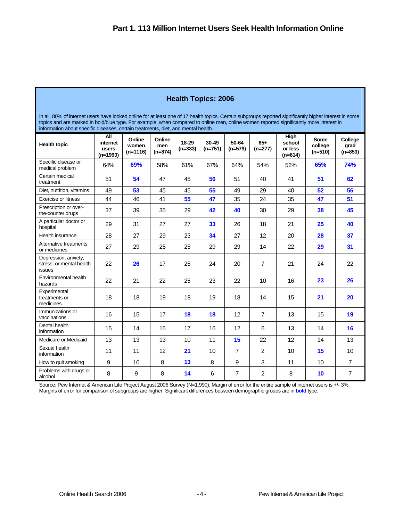### **Health Topics: 2006**

In all, 80% of internet users have looked online for at least one of 17 health topics. Certain subgroups reported significantly higher interest in some topics and are marked in bold/blue type. For example, when compared to online men, online women reported significantly more interest in information about specific diseases, certain treatments, diet, and mental health.

| <b>Health topic</b>                                        | All<br>internet<br>users<br>$(n=1990)$ | Online<br>women<br>$(n=1116)$ | Online<br>men<br>$(n=874)$ | 18-29<br>$(n=333)$ | 30-49<br>$(n=751)$ | 50-64<br>$(n=579)$ | $65+$<br>$(n=277)$ | High<br>school<br>or less<br>$(n=614)$ | Some<br>college<br>$(n=510)$ | College<br>grad<br>$(n=853)$ |
|------------------------------------------------------------|----------------------------------------|-------------------------------|----------------------------|--------------------|--------------------|--------------------|--------------------|----------------------------------------|------------------------------|------------------------------|
| Specific disease or<br>medical problem                     | 64%                                    | 69%                           | 58%                        | 61%                | 67%                | 64%                | 54%                | 52%                                    | 65%                          | <b>74%</b>                   |
| Certain medical<br>treatment                               | 51                                     | 54                            | 47                         | 45                 | 56                 | 51                 | 40                 | 41                                     | 51                           | 62                           |
| Diet, nutrition, vitamins                                  | 49                                     | 53                            | 45                         | 45                 | 55                 | 49                 | 29                 | 40                                     | 52                           | 56                           |
| Exercise or fitness                                        | 44                                     | 46                            | 41                         | 55                 | 47                 | 35                 | 24                 | 35                                     | 47                           | 51                           |
| Prescription or over-<br>the-counter drugs                 | 37                                     | 39                            | 35                         | 29                 | 42                 | 40                 | 30                 | 29                                     | 38                           | 45                           |
| A particular doctor or<br>hospital                         | 29                                     | 31                            | 27                         | 27                 | 33                 | 26                 | 18                 | 21                                     | 25                           | 40                           |
| Health insurance                                           | 28                                     | 27                            | 29                         | 23                 | 34                 | 27                 | 12                 | 20                                     | 28                           | 37                           |
| Alternative treatments<br>or medicines                     | 27                                     | 29                            | 25                         | 25                 | 29                 | 29                 | 14                 | 22                                     | 29                           | 31                           |
| Depression, anxiety,<br>stress, or mental health<br>issues | 22                                     | 26                            | 17                         | 25                 | 24                 | 20                 | $\overline{7}$     | 21                                     | 24                           | 22                           |
| Environmental health<br>hazards                            | 22                                     | 21                            | 22                         | 25                 | 23                 | 22                 | 10                 | 16                                     | 23                           | 26                           |
| Experimental<br>treatments or<br>medicines                 | 18                                     | 18                            | 19                         | 18                 | 19                 | 18                 | 14                 | 15                                     | 21                           | 20                           |
| Immunizations or<br>vaccinations                           | 16                                     | 15                            | 17                         | 18                 | 18                 | 12                 | $\overline{7}$     | 13                                     | 15                           | 19                           |
| Dental health<br>information                               | 15                                     | 14                            | 15                         | 17                 | 16                 | 12                 | 6                  | 13                                     | 14                           | 16                           |
| Medicare or Medicaid                                       | 13                                     | 13                            | 13                         | 10                 | 11                 | 15                 | 22                 | 12                                     | 14                           | 13                           |
| Sexual health<br>information                               | 11                                     | 11                            | 12                         | 21                 | 10                 | $\overline{7}$     | $\overline{2}$     | 10                                     | 15                           | 10                           |
| How to quit smoking                                        | 9                                      | 10                            | 8                          | 13                 | 8                  | 9                  | 3                  | 11                                     | 10                           | $\overline{7}$               |
| Problems with drugs or<br>alcohol                          | 8                                      | 9                             | 8                          | 14                 | 6                  | $\overline{7}$     | 2                  | 8                                      | 10                           | $\overline{7}$               |

Source: Pew Internet & American Life Project August 2006 Survey (N=1,990). Margin of error for the entire sample of internet users is +/- 3%. Margins of error for comparison of subgroups are higher. Significant differences between demographic groups are in **bold** type.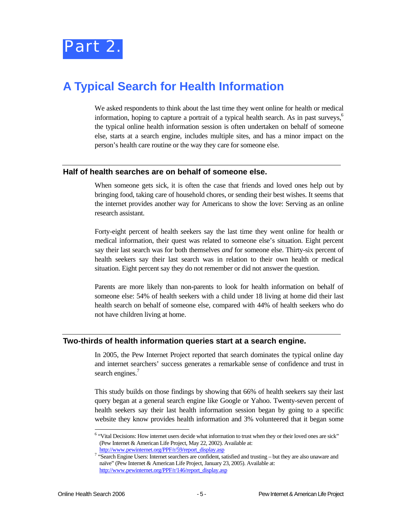

### **A Typical Search for Health Information**

We asked respondents to think about the last time they went online for health or medical information, hoping to capture a portrait of a typical health search. As in past surveys,6 the typical online health information session is often undertaken on behalf of someone else, starts at a search engine, includes multiple sites, and has a minor impact on the person's health care routine or the way they care for someone else.

#### **Half of health searches are on behalf of someone else.**

When someone gets sick, it is often the case that friends and loved ones help out by bringing food, taking care of household chores, or sending their best wishes. It seems that the internet provides another way for Americans to show the love: Serving as an online research assistant.

Forty-eight percent of health seekers say the last time they went online for health or medical information, their quest was related to someone else's situation. Eight percent say their last search was for both themselves *and* for someone else. Thirty-six percent of health seekers say their last search was in relation to their own health or medical situation. Eight percent say they do not remember or did not answer the question.

Parents are more likely than non-parents to look for health information on behalf of someone else: 54% of health seekers with a child under 18 living at home did their last health search on behalf of someone else, compared with 44% of health seekers who do not have children living at home.

### **Two-thirds of health information queries start at a search engine.**

In 2005, the Pew Internet Project reported that search dominates the typical online day and internet searchers' success generates a remarkable sense of confidence and trust in search engines.<sup>7</sup>

This study builds on those findings by showing that 66% of health seekers say their last query began at a general search engine like Google or Yahoo. Twenty-seven percent of health seekers say their last health information session began by going to a specific website they know provides health information and 3% volunteered that it began some

1

<sup>&</sup>lt;sup>6</sup> "Vital Decisions: How internet users decide what information to trust when they or their loved ones are sick" (Pew Internet & American Life Project, May 22, 2002). Available at:

http://www.pewinternet.org/PPF/r/59/report\_display.asp

<sup>&</sup>lt;sup>7</sup> "Search Engine Users: Internet searchers are confident, satisfied and trusting – but they are also unaware and naïve" (Pew Internet & American Life Project, January 23, 2005). Available at: http://www.pewinternet.org/PPF/r/146/report\_display.asp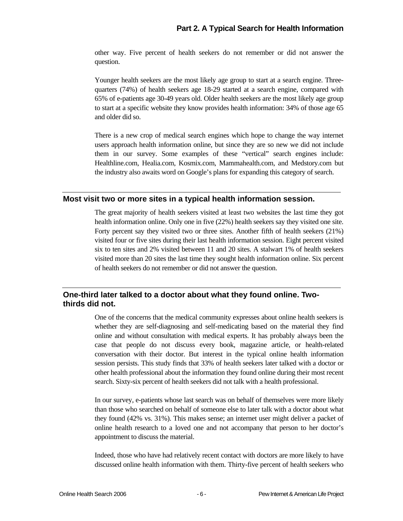other way. Five percent of health seekers do not remember or did not answer the question.

Younger health seekers are the most likely age group to start at a search engine. Threequarters (74%) of health seekers age 18-29 started at a search engine, compared with 65% of e-patients age 30-49 years old. Older health seekers are the most likely age group to start at a specific website they know provides health information: 34% of those age 65 and older did so.

There is a new crop of medical search engines which hope to change the way internet users approach health information online, but since they are so new we did not include them in our survey. Some examples of these "vertical" search engines include: Healthline.com, Healia.com, Kosmix.com, Mammahealth.com, and Medstory.com but the industry also awaits word on Google's plans for expanding this category of search.

### **Most visit two or more sites in a typical health information session.**

The great majority of health seekers visited at least two websites the last time they got health information online. Only one in five (22%) health seekers say they visited one site. Forty percent say they visited two or three sites. Another fifth of health seekers (21%) visited four or five sites during their last health information session. Eight percent visited six to ten sites and 2% visited between 11 and 20 sites. A stalwart 1% of health seekers visited more than 20 sites the last time they sought health information online. Six percent of health seekers do not remember or did not answer the question.

### **One-third later talked to a doctor about what they found online. Twothirds did not.**

One of the concerns that the medical community expresses about online health seekers is whether they are self-diagnosing and self-medicating based on the material they find online and without consultation with medical experts. It has probably always been the case that people do not discuss every book, magazine article, or health-related conversation with their doctor. But interest in the typical online health information session persists. This study finds that 33% of health seekers later talked with a doctor or other health professional about the information they found online during their most recent search. Sixty-six percent of health seekers did not talk with a health professional.

In our survey, e-patients whose last search was on behalf of themselves were more likely than those who searched on behalf of someone else to later talk with a doctor about what they found (42% vs. 31%). This makes sense; an internet user might deliver a packet of online health research to a loved one and not accompany that person to her doctor's appointment to discuss the material.

Indeed, those who have had relatively recent contact with doctors are more likely to have discussed online health information with them. Thirty-five percent of health seekers who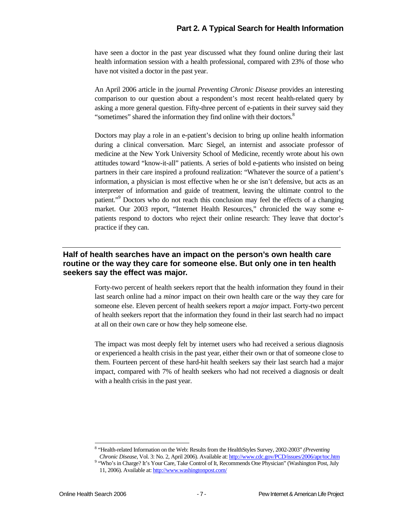have seen a doctor in the past year discussed what they found online during their last health information session with a health professional, compared with 23% of those who have not visited a doctor in the past year.

An April 2006 article in the journal *Preventing Chronic Disease* provides an interesting comparison to our question about a respondent's most recent health-related query by asking a more general question. Fifty-three percent of e-patients in their survey said they "sometimes" shared the information they find online with their doctors.<sup>8</sup>

Doctors may play a role in an e-patient's decision to bring up online health information during a clinical conversation. Marc Siegel, an internist and associate professor of medicine at the New York University School of Medicine, recently wrote about his own attitudes toward "know-it-all" patients. A series of bold e-patients who insisted on being partners in their care inspired a profound realization: "Whatever the source of a patient's information, a physician is most effective when he or she isn't defensive, but acts as an interpreter of information and guide of treatment, leaving the ultimate control to the patient."<sup>9</sup> Doctors who do not reach this conclusion may feel the effects of a changing market. Our 2003 report, "Internet Health Resources," chronicled the way some epatients respond to doctors who reject their online research: They leave that doctor's practice if they can.

### **Half of health searches have an impact on the person's own health care routine or the way they care for someone else. But only one in ten health seekers say the effect was major.**

Forty-two percent of health seekers report that the health information they found in their last search online had a *minor* impact on their own health care or the way they care for someone else. Eleven percent of health seekers report a *major* impact. Forty-two percent of health seekers report that the information they found in their last search had no impact at all on their own care or how they help someone else.

The impact was most deeply felt by internet users who had received a serious diagnosis or experienced a health crisis in the past year, either their own or that of someone close to them. Fourteen percent of these hard-hit health seekers say their last search had a major impact, compared with 7% of health seekers who had not received a diagnosis or dealt with a health crisis in the past year.

1

<sup>8</sup> "Health-related Information on the Web: Results from the HealthStyles Survey, 2002-2003" *(Preventing Chronic Disease*, Vol. 3: No. 2, April 2006). Available at: http://www.cdc.gov/PCD/issues/2006/apr/toc.htm 9

<sup>&</sup>lt;sup>9</sup> "Who's in Charge? It's Your Care, Take Control of It, Recommends One Physician" (Washington Post, July 11, 2006). Available at: http://www.washingtonpost.com/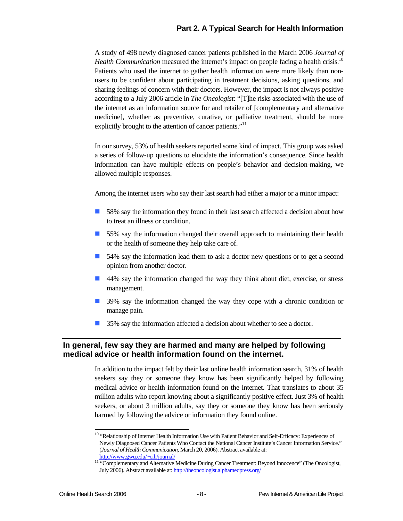A study of 498 newly diagnosed cancer patients published in the March 2006 *Journal of Health Communication* measured the internet's impact on people facing a health crisis.<sup>10</sup> Patients who used the internet to gather health information were more likely than nonusers to be confident about participating in treatment decisions, asking questions, and sharing feelings of concern with their doctors. However, the impact is not always positive according to a July 2006 article in *The Oncologist*: "[T]he risks associated with the use of the internet as an information source for and retailer of [complementary and alternative medicine], whether as preventive, curative, or palliative treatment, should be more explicitly brought to the attention of cancer patients."<sup>11</sup>

In our survey, 53% of health seekers reported some kind of impact. This group was asked a series of follow-up questions to elucidate the information's consequence. Since health information can have multiple effects on people's behavior and decision-making, we allowed multiple responses.

Among the internet users who say their last search had either a major or a minor impact:

- **IS** 58% say the information they found in their last search affected a decision about how to treat an illness or condition.
- **If** 55% say the information changed their overall approach to maintaining their health or the health of someone they help take care of.
- **If** 54% say the information lead them to ask a doctor new questions or to get a second opinion from another doctor.
- ! 44% say the information changed the way they think about diet, exercise, or stress management.
- **1** 39% say the information changed the way they cope with a chronic condition or manage pain.
- **135%** say the information affected a decision about whether to see a doctor.

### **In general, few say they are harmed and many are helped by following medical advice or health information found on the internet.**

In addition to the impact felt by their last online health information search, 31% of health seekers say they or someone they know has been significantly helped by following medical advice or health information found on the internet. That translates to about 35 million adults who report knowing about a significantly positive effect. Just 3% of health seekers, or about 3 million adults, say they or someone they know has been seriously harmed by following the advice or information they found online.

l <sup>10</sup> "Relationship of Internet Health Information Use with Patient Behavior and Self-Efficacy: Experiences of Newly Diagnosed Cancer Patients Who Contact the National Cancer Institute's Cancer Information Service." (*Journal of Health Communication*, March 20, 2006). Abstract available at:

http://www.gwu.edu/~cih/journal/<br><sup>11</sup> "Complementary and Alternative Medicine During Cancer Treatment: Beyond Innocence" (The Oncologist, July 2006). Abstract available at: http://theoncologist.alphamedpress.org/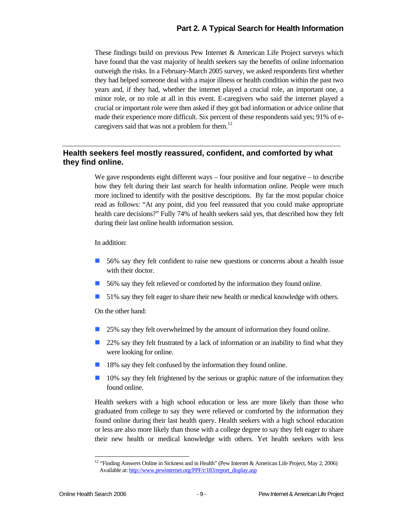These findings build on previous Pew Internet & American Life Project surveys which have found that the vast majority of health seekers say the benefits of online information outweigh the risks. In a February-March 2005 survey, we asked respondents first whether they had helped someone deal with a major illness or health condition within the past two years and, if they had, whether the internet played a crucial role, an important one, a minor role, or no role at all in this event. E-caregivers who said the internet played a crucial or important role were then asked if they got bad information or advice online that made their experience more difficult. Six percent of these respondents said yes; 91% of ecaregivers said that was not a problem for them.<sup>12</sup>

### **Health seekers feel mostly reassured, confident, and comforted by what they find online.**

We gave respondents eight different ways – four positive and four negative – to describe how they felt during their last search for health information online. People were much more inclined to identify with the positive descriptions. By far the most popular choice read as follows: "At any point, did you feel reassured that you could make appropriate health care decisions?" Fully 74% of health seekers said yes, that described how they felt during their last online health information session.

#### In addition:

- **1** 56% say they felt confident to raise new questions or concerns about a health issue with their doctor.
- 56% say they felt relieved or comforted by the information they found online.
- ! 51% say they felt eager to share their new health or medical knowledge with others.

On the other hand:

- **25% say they felt overwhelmed by the amount of information they found online.**
- **22%** say they felt frustrated by a lack of information or an inability to find what they were looking for online.
- 18% say they felt confused by the information they found online.
- $\Box$  10% say they felt frightened by the serious or graphic nature of the information they found online.

Health seekers with a high school education or less are more likely than those who graduated from college to say they were relieved or comforted by the information they found online during their last health query. Health seekers with a high school education or less are also more likely than those with a college degree to say they felt eager to share their new health or medical knowledge with others. Yet health seekers with less

l

<sup>&</sup>lt;sup>12</sup> "Finding Answers Online in Sickness and in Health" (Pew Internet & American Life Project, May 2, 2006) Available at: http://www.pewinternet.org/PPF/r/183/report\_display.asp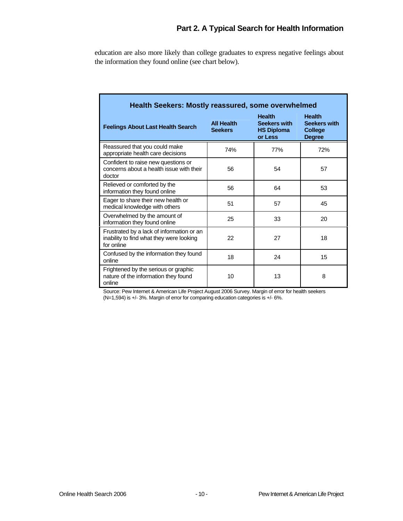education are also more likely than college graduates to express negative feelings about the information they found online (see chart below).

| <b>Health Seekers: Mostly reassured, some overwhelmed</b>                                           |                                     |                                                                      |                                                                         |  |  |  |
|-----------------------------------------------------------------------------------------------------|-------------------------------------|----------------------------------------------------------------------|-------------------------------------------------------------------------|--|--|--|
| <b>Feelings About Last Health Search</b>                                                            | <b>All Health</b><br><b>Seekers</b> | <b>Health</b><br><b>Seekers with</b><br><b>HS Diploma</b><br>or Less | <b>Health</b><br><b>Seekers with</b><br><b>College</b><br><b>Degree</b> |  |  |  |
| Reassured that you could make<br>appropriate health care decisions                                  | 74%                                 | 77%                                                                  | 72%                                                                     |  |  |  |
| Confident to raise new questions or<br>concerns about a health issue with their<br>doctor           | 56                                  | 54                                                                   | 57                                                                      |  |  |  |
| Relieved or comforted by the<br>information they found online                                       | 56                                  | 64                                                                   | 53                                                                      |  |  |  |
| Eager to share their new health or<br>medical knowledge with others                                 | 51                                  | 57                                                                   | 45                                                                      |  |  |  |
| Overwhelmed by the amount of<br>information they found online                                       | 25                                  | 33                                                                   | 20                                                                      |  |  |  |
| Frustrated by a lack of information or an<br>inability to find what they were looking<br>for online | 22                                  | 27                                                                   | 18                                                                      |  |  |  |
| Confused by the information they found<br>online                                                    | 18                                  | 24                                                                   | 15                                                                      |  |  |  |
| Frightened by the serious or graphic<br>nature of the information they found<br>online              | 10                                  | 13                                                                   | 8                                                                       |  |  |  |

Source: Pew Internet & American Life Project August 2006 Survey. Margin of error for health seekers (N=1,594) is +/- 3%. Margin of error for comparing education categories is +/- 6%.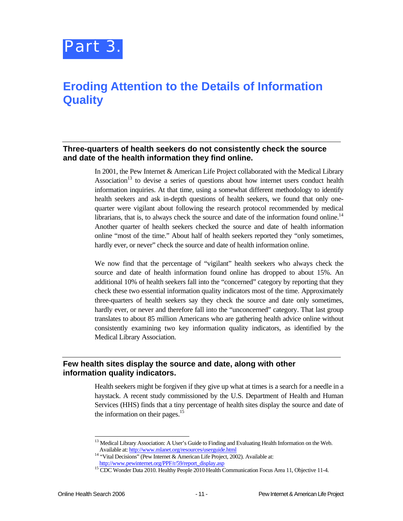

### **Eroding Attention to the Details of Information Quality**

### **Three-quarters of health seekers do not consistently check the source and date of the health information they find online.**

In 2001, the Pew Internet & American Life Project collaborated with the Medical Library Association<sup>13</sup> to devise a series of questions about how internet users conduct health information inquiries. At that time, using a somewhat different methodology to identify health seekers and ask in-depth questions of health seekers, we found that only onequarter were vigilant about following the research protocol recommended by medical librarians, that is, to always check the source and date of the information found online.<sup>14</sup> Another quarter of health seekers checked the source and date of health information online "most of the time." About half of health seekers reported they "only sometimes, hardly ever, or never" check the source and date of health information online.

We now find that the percentage of "vigilant" health seekers who always check the source and date of health information found online has dropped to about 15%. An additional 10% of health seekers fall into the "concerned" category by reporting that they check these two essential information quality indicators most of the time. Approximately three-quarters of health seekers say they check the source and date only sometimes, hardly ever, or never and therefore fall into the "unconcerned" category. That last group translates to about 85 million Americans who are gathering health advice online without consistently examining two key information quality indicators, as identified by the Medical Library Association.

### **Few health sites display the source and date, along with other information quality indicators.**

Health seekers might be forgiven if they give up what at times is a search for a needle in a haystack. A recent study commissioned by the U.S. Department of Health and Human Services (HHS) finds that a tiny percentage of health sites display the source and date of the information on their pages. $15$ 

-

<sup>&</sup>lt;sup>13</sup> Medical Library Association: A User's Guide to Finding and Evaluating Health Information on the Web. Available at: http://www.mlanet.org/resources/userguide.html 14 "Vital Decisions" (Pew Internet & American Life Project, 2002). Available at:

http://www.pewinternet.org/PPF/r/59/report\_display.asp 15 CDC Wonder Data 2010. Healthy People 2010 Health Communication Focus Area 11, Objective 11-4.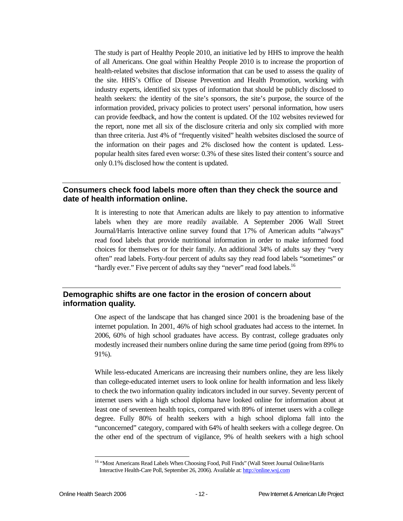The study is part of Healthy People 2010, an initiative led by HHS to improve the health of all Americans. One goal within Healthy People 2010 is to increase the proportion of health-related websites that disclose information that can be used to assess the quality of the site. HHS's Office of Disease Prevention and Health Promotion, working with industry experts, identified six types of information that should be publicly disclosed to health seekers: the identity of the site's sponsors, the site's purpose, the source of the information provided, privacy policies to protect users' personal information, how users can provide feedback, and how the content is updated. Of the 102 websites reviewed for the report, none met all six of the disclosure criteria and only six complied with more than three criteria. Just 4% of "frequently visited" health websites disclosed the source of the information on their pages and 2% disclosed how the content is updated. Lesspopular health sites fared even worse: 0.3% of these sites listed their content's source and only 0.1% disclosed how the content is updated.

### **Consumers check food labels more often than they check the source and date of health information online.**

It is interesting to note that American adults are likely to pay attention to informative labels when they are more readily available. A September 2006 Wall Street Journal/Harris Interactive online survey found that 17% of American adults "always" read food labels that provide nutritional information in order to make informed food choices for themselves or for their family. An additional 34% of adults say they "very often" read labels. Forty-four percent of adults say they read food labels "sometimes" or "hardly ever." Five percent of adults say they "never" read food labels.<sup>16</sup>

### **Demographic shifts are one factor in the erosion of concern about information quality.**

One aspect of the landscape that has changed since 2001 is the broadening base of the internet population. In 2001, 46% of high school graduates had access to the internet. In 2006, 60% of high school graduates have access. By contrast, college graduates only modestly increased their numbers online during the same time period (going from 89% to 91%).

While less-educated Americans are increasing their numbers online, they are less likely than college-educated internet users to look online for health information and less likely to check the two information quality indicators included in our survey. Seventy percent of internet users with a high school diploma have looked online for information about at least one of seventeen health topics, compared with 89% of internet users with a college degree. Fully 80% of health seekers with a high school diploma fall into the "unconcerned" category, compared with 64% of health seekers with a college degree. On the other end of the spectrum of vigilance, 9% of health seekers with a high school

1

<sup>&</sup>lt;sup>16</sup> "Most Americans Read Labels When Choosing Food, Poll Finds" (Wall Street Journal Online/Harris Interactive Health-Care Poll, September 26, 2006). Available at: http://online.wsj.com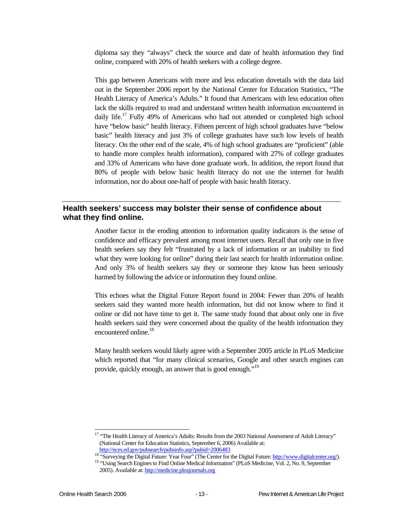diploma say they "always" check the source and date of health information they find online, compared with 20% of health seekers with a college degree.

This gap between Americans with more and less education dovetails with the data laid out in the September 2006 report by the National Center for Education Statistics, "The Health Literacy of America's Adults." It found that Americans with less education often lack the skills required to read and understand written health information encountered in daily life.<sup>17</sup> Fully 49% of Americans who had not attended or completed high school have "below basic" health literacy. Fifteen percent of high school graduates have "below basic" health literacy and just 3% of college graduates have such low levels of health literacy. On the other end of the scale, 4% of high school graduates are "proficient" (able to handle more complex health information), compared with 27% of college graduates and 33% of Americans who have done graduate work. In addition, the report found that 80% of people with below basic health literacy do not use the internet for health information, nor do about one-half of people with basic health literacy.

### **Health seekers' success may bolster their sense of confidence about what they find online.**

Another factor in the eroding attention to information quality indicators is the sense of confidence and efficacy prevalent among most internet users. Recall that only one in five health seekers say they felt "frustrated by a lack of information or an inability to find what they were looking for online" during their last search for health information online. And only 3% of health seekers say they or someone they know has been seriously harmed by following the advice or information they found online.

This echoes what the Digital Future Report found in 2004: Fewer than 20% of health seekers said they wanted more health information, but did not know where to find it online or did not have time to get it. The same study found that about only one in five health seekers said they were concerned about the quality of the health information they encountered online.<sup>18</sup>

Many health seekers would likely agree with a September 2005 article in PLoS Medicine which reported that "for many clinical scenarios, Google and other search engines can provide, quickly enough, an answer that is good enough."<sup>19</sup>

1

<sup>&</sup>lt;sup>17</sup> "The Health Literacy of America's Adults: Results from the 2003 National Assessment of Adult Literacy" (National Center for Education Statistics, September 6, 2006) Available at:

http://nces.ed.gov/pubsearch/pubsinfo.asp?pubid=2006483<br><sup>18</sup> "Surveying the Digital Future: Year Four" (The Center for the Digital Future: http://www.digitalcenter.org/).<br><sup>19</sup> "Using Search Engines to Find Online Medical I

<sup>2005).</sup> Available at: http://medicine.plosjournals.org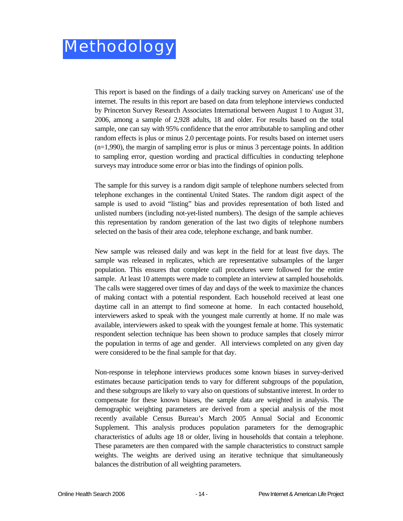This report is based on the findings of a daily tracking survey on Americans' use of the internet. The results in this report are based on data from telephone interviews conducted by Princeton Survey Research Associates International between August 1 to August 31, 2006, among a sample of 2,928 adults, 18 and older. For results based on the total sample, one can say with 95% confidence that the error attributable to sampling and other random effects is plus or minus 2.0 percentage points. For results based on internet users  $(n=1,990)$ , the margin of sampling error is plus or minus 3 percentage points. In addition to sampling error, question wording and practical difficulties in conducting telephone surveys may introduce some error or bias into the findings of opinion polls.

The sample for this survey is a random digit sample of telephone numbers selected from telephone exchanges in the continental United States. The random digit aspect of the sample is used to avoid "listing" bias and provides representation of both listed and unlisted numbers (including not-yet-listed numbers). The design of the sample achieves this representation by random generation of the last two digits of telephone numbers selected on the basis of their area code, telephone exchange, and bank number.

New sample was released daily and was kept in the field for at least five days. The sample was released in replicates, which are representative subsamples of the larger population. This ensures that complete call procedures were followed for the entire sample. At least 10 attempts were made to complete an interview at sampled households. The calls were staggered over times of day and days of the week to maximize the chances of making contact with a potential respondent. Each household received at least one daytime call in an attempt to find someone at home. In each contacted household, interviewers asked to speak with the youngest male currently at home. If no male was available, interviewers asked to speak with the youngest female at home. This systematic respondent selection technique has been shown to produce samples that closely mirror the population in terms of age and gender. All interviews completed on any given day were considered to be the final sample for that day.

Non-response in telephone interviews produces some known biases in survey-derived estimates because participation tends to vary for different subgroups of the population, and these subgroups are likely to vary also on questions of substantive interest. In order to compensate for these known biases, the sample data are weighted in analysis. The demographic weighting parameters are derived from a special analysis of the most recently available Census Bureau's March 2005 Annual Social and Economic Supplement. This analysis produces population parameters for the demographic characteristics of adults age 18 or older, living in households that contain a telephone. These parameters are then compared with the sample characteristics to construct sample weights. The weights are derived using an iterative technique that simultaneously balances the distribution of all weighting parameters.